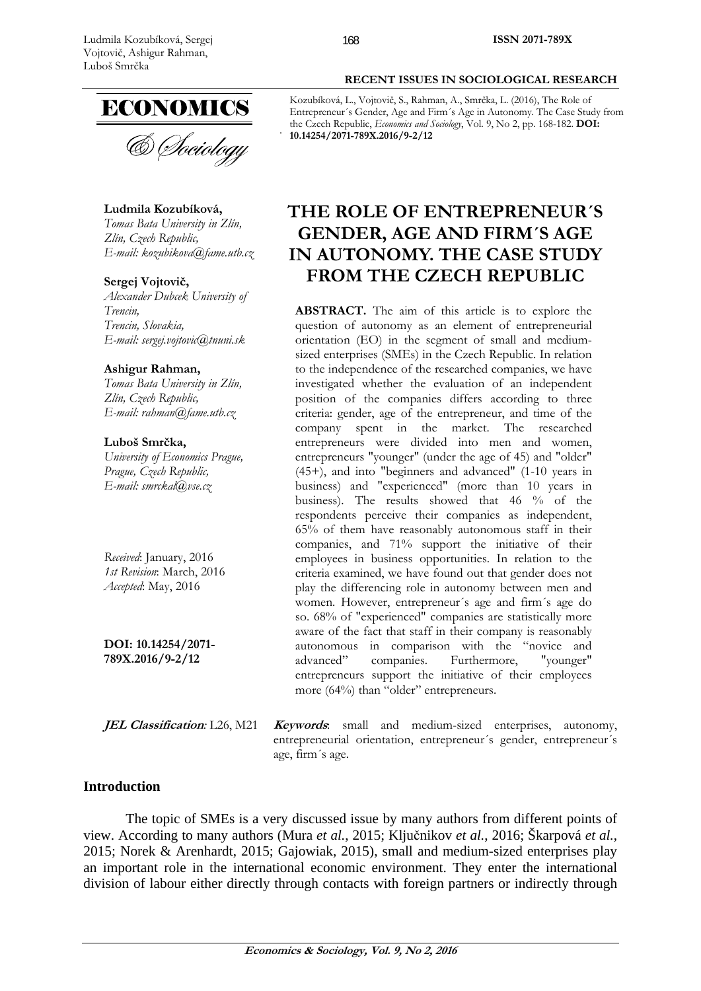

& Sociology

**Ludmila Kozubíková,** 

*Tomas Bata University in Zlín, Zlín, Czech Republic, E-mail: kozubikova@fame.utb.cz* 

**Sergej Vojtovič,**

*Alexander Dubcek University of Trencin, Trencin, Slovakia, E-mail: sergej.vojtovic@tnuni.sk* 

#### **Ashigur Rahman,**

*Tomas Bata University in Zlín, Zlín, Czech Republic, E-mail: rahman@fame.utb.cz* 

#### **Luboš Smrčka,**

*University of Economics Prague, Prague, Czech Republic, E-mail: smrckal@vse.cz* 

*Received*: January, 2016 *1st Revision*: March, 2016 *Accepted*: May, 2016

**DOI: 10.14254/2071- 789X.2016/9-2/12**

**JEL Classification***:* L26, M21 **Keywords**: small and medium-sized enterprises, autonomy, entrepreneurial orientation, entrepreneur´s gender, entrepreneur´s age, firm´s age.

# **Introduction**

The topic of SMEs is a very discussed issue by many authors from different points of view. According to many authors (Mura *et al.*, 2015; Ključnikov *et al.*, 2016; Škarpová *et al.*, 2015; Norek & Arenhardt, 2015; Gajowiak, 2015), small and medium-sized enterprises play an important role in the international economic environment. They enter the international division of labour either directly through contacts with foreign partners or indirectly through

#### **RECENT ISSUES IN SOCIOLOGICAL RESEARCH**

Kozubíková, L., Vojtovič, S., Rahman, A., Smrčka, L. (2016), The Role of Entrepreneur´s Gender, Age and Firm´s Age in Autonomy. The Case Study from the Czech Republic, *Economics and Sociology*, Vol. 9, No 2, pp. 168-182. **DOI: 10.14254/2071-789X.2016/9-2/12** 

# **THE ROLE OF ENTREPRENEUR´S GENDER, AGE AND FIRM´S AGE IN AUTONOMY. THE CASE STUDY FROM THE CZECH REPUBLIC**

**ABSTRACT.** The aim of this article is to explore the question of autonomy as an element of entrepreneurial orientation (EO) in the segment of small and mediumsized enterprises (SMEs) in the Czech Republic. In relation to the independence of the researched companies, we have investigated whether the evaluation of an independent position of the companies differs according to three criteria: gender, age of the entrepreneur, and time of the company spent in the market. The researched entrepreneurs were divided into men and women, entrepreneurs "younger" (under the age of 45) and "older" (45+), and into "beginners and advanced" (1-10 years in business) and "experienced" (more than 10 years in business). The results showed that 46 % of the respondents perceive their companies as independent, 65% of them have reasonably autonomous staff in their companies, and 71% support the initiative of their employees in business opportunities. In relation to the criteria examined, we have found out that gender does not play the differencing role in autonomy between men and women. However, entrepreneur´s age and firm´s age do so. 68% of "experienced" companies are statistically more aware of the fact that staff in their company is reasonably autonomous in comparison with the "novice and advanced" companies. Furthermore, "younger" entrepreneurs support the initiative of their employees more (64%) than "older" entrepreneurs.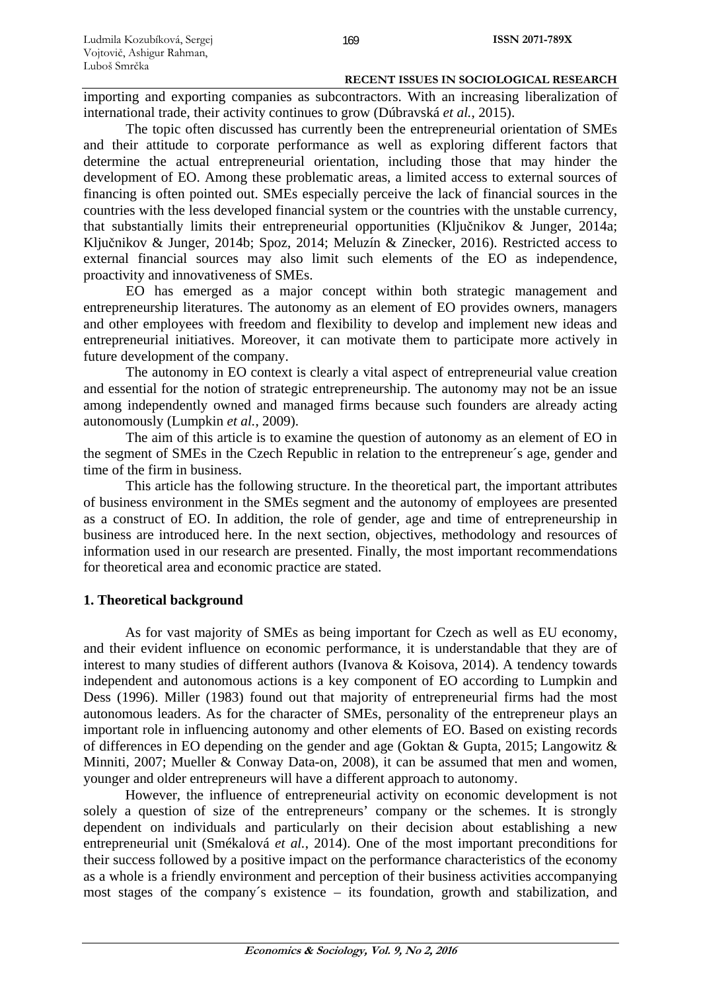importing and exporting companies as subcontractors. With an increasing liberalization of international trade, their activity continues to grow (Dúbravská *et al.*, 2015).

The topic often discussed has currently been the entrepreneurial orientation of SMEs and their attitude to corporate performance as well as exploring different factors that determine the actual entrepreneurial orientation, including those that may hinder the development of EO. Among these problematic areas, a limited access to external sources of financing is often pointed out. SMEs especially perceive the lack of financial sources in the countries with the less developed financial system or the countries with the unstable currency, that substantially limits their entrepreneurial opportunities (Ključnikov & Junger, 2014a; Ključnikov & Junger, 2014b; Spoz, 2014; Meluzín & Zinecker, 2016). Restricted access to external financial sources may also limit such elements of the EO as independence, proactivity and innovativeness of SMEs.

EO has emerged as a major concept within both strategic management and entrepreneurship literatures. The autonomy as an element of EO provides owners, managers and other employees with freedom and flexibility to develop and implement new ideas and entrepreneurial initiatives. Moreover, it can motivate them to participate more actively in future development of the company.

The autonomy in EO context is clearly a vital aspect of entrepreneurial value creation and essential for the notion of strategic entrepreneurship. The autonomy may not be an issue among independently owned and managed firms because such founders are already acting autonomously (Lumpkin *et al.*, 2009).

The aim of this article is to examine the question of autonomy as an element of EO in the segment of SMEs in the Czech Republic in relation to the entrepreneur´s age, gender and time of the firm in business.

This article has the following structure. In the theoretical part, the important attributes of business environment in the SMEs segment and the autonomy of employees are presented as a construct of EO. In addition, the role of gender, age and time of entrepreneurship in business are introduced here. In the next section, objectives, methodology and resources of information used in our research are presented. Finally, the most important recommendations for theoretical area and economic practice are stated.

# **1. Theoretical background**

As for vast majority of SMEs as being important for Czech as well as EU economy, and their evident influence on economic performance, it is understandable that they are of interest to many studies of different authors (Ivanova & Koisova, 2014). A tendency towards independent and autonomous actions is a key component of EO according to Lumpkin and Dess (1996). Miller (1983) found out that majority of entrepreneurial firms had the most autonomous leaders. As for the character of SMEs, personality of the entrepreneur plays an important role in influencing autonomy and other elements of EO. Based on existing records of differences in EO depending on the gender and age (Goktan & Gupta, 2015; Langowitz & Minniti, 2007; Mueller & Conway Data-on, 2008), it can be assumed that men and women, younger and older entrepreneurs will have a different approach to autonomy.

However, the influence of entrepreneurial activity on economic development is not solely a question of size of the entrepreneurs' company or the schemes. It is strongly dependent on individuals and particularly on their decision about establishing a new entrepreneurial unit (Smékalová *et al.*, 2014). One of the most important preconditions for their success followed by a positive impact on the performance characteristics of the economy as a whole is a friendly environment and perception of their business activities accompanying most stages of the company´s existence – its foundation, growth and stabilization, and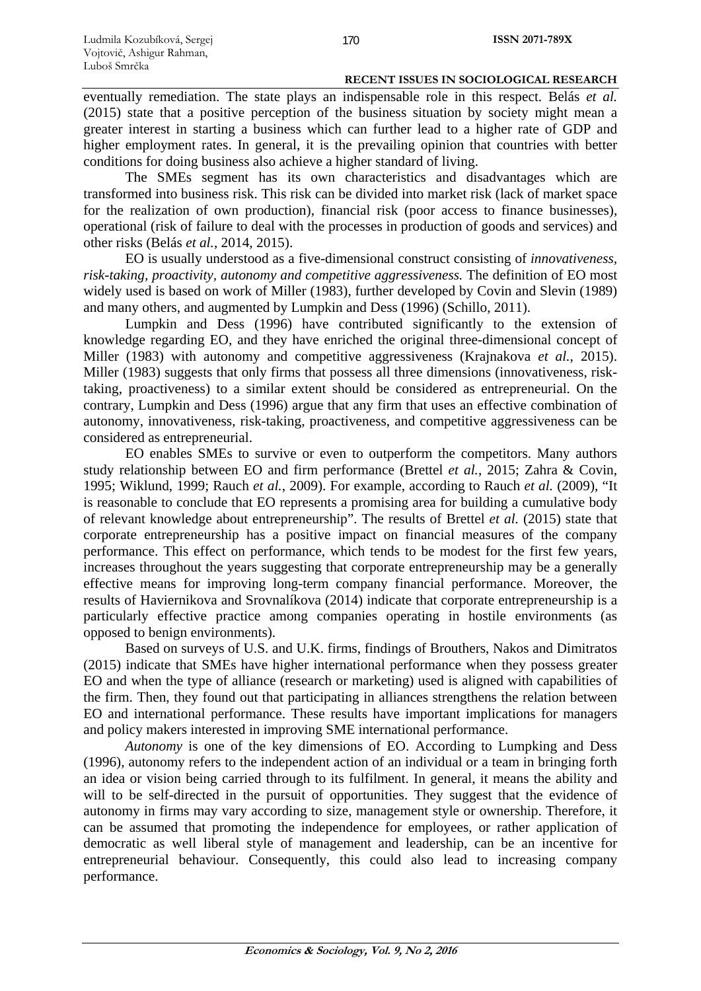eventually remediation. The state plays an indispensable role in this respect. Belás *et al.* (2015) state that a positive perception of the business situation by society might mean a greater interest in starting a business which can further lead to a higher rate of GDP and higher employment rates. In general, it is the prevailing opinion that countries with better conditions for doing business also achieve a higher standard of living.

The SMEs segment has its own characteristics and disadvantages which are transformed into business risk. This risk can be divided into market risk (lack of market space for the realization of own production), financial risk (poor access to finance businesses), operational (risk of failure to deal with the processes in production of goods and services) and other risks (Belás *et al.*, 2014, 2015).

EO is usually understood as a five-dimensional construct consisting of *innovativeness, risk-taking, proactivity, autonomy and competitive aggressiveness.* The definition of EO most widely used is based on work of Miller (1983), further developed by Covin and Slevin (1989) and many others, and augmented by Lumpkin and Dess (1996) (Schillo, 2011).

Lumpkin and Dess (1996) have contributed significantly to the extension of knowledge regarding EO, and they have enriched the original three-dimensional concept of Miller (1983) with autonomy and competitive aggressiveness (Krajnakova *et al.*, 2015). Miller (1983) suggests that only firms that possess all three dimensions (innovativeness, risktaking, proactiveness) to a similar extent should be considered as entrepreneurial. On the contrary, Lumpkin and Dess (1996) argue that any firm that uses an effective combination of autonomy, innovativeness, risk-taking, proactiveness, and competitive aggressiveness can be considered as entrepreneurial.

EO enables SMEs to survive or even to outperform the competitors. Many authors study relationship between EO and firm performance (Brettel *et al.*, 2015; Zahra & Covin, 1995; Wiklund, 1999; Rauch *et al.*, 2009). For example, according to Rauch *et al.* (2009), "It is reasonable to conclude that EO represents a promising area for building a cumulative body of relevant knowledge about entrepreneurship". The results of Brettel *et al.* (2015) state that corporate entrepreneurship has a positive impact on financial measures of the company performance. This effect on performance, which tends to be modest for the first few years, increases throughout the years suggesting that corporate entrepreneurship may be a generally effective means for improving long-term company financial performance. Moreover, the results of Haviernikova and Srovnalíkova (2014) indicate that corporate entrepreneurship is a particularly effective practice among companies operating in hostile environments (as opposed to benign environments).

Based on surveys of U.S. and U.K. firms, findings of Brouthers, Nakos and Dimitratos (2015) indicate that SMEs have higher international performance when they possess greater EO and when the type of alliance (research or marketing) used is aligned with capabilities of the firm. Then, they found out that participating in alliances strengthens the relation between EO and international performance. These results have important implications for managers and policy makers interested in improving SME international performance.

*Autonomy* is one of the key dimensions of EO. According to Lumpking and Dess (1996), autonomy refers to the independent action of an individual or a team in bringing forth an idea or vision being carried through to its fulfilment. In general, it means the ability and will to be self-directed in the pursuit of opportunities. They suggest that the evidence of autonomy in firms may vary according to size, management style or ownership. Therefore, it can be assumed that promoting the independence for employees, or rather application of democratic as well liberal style of management and leadership, can be an incentive for entrepreneurial behaviour. Consequently, this could also lead to increasing company performance.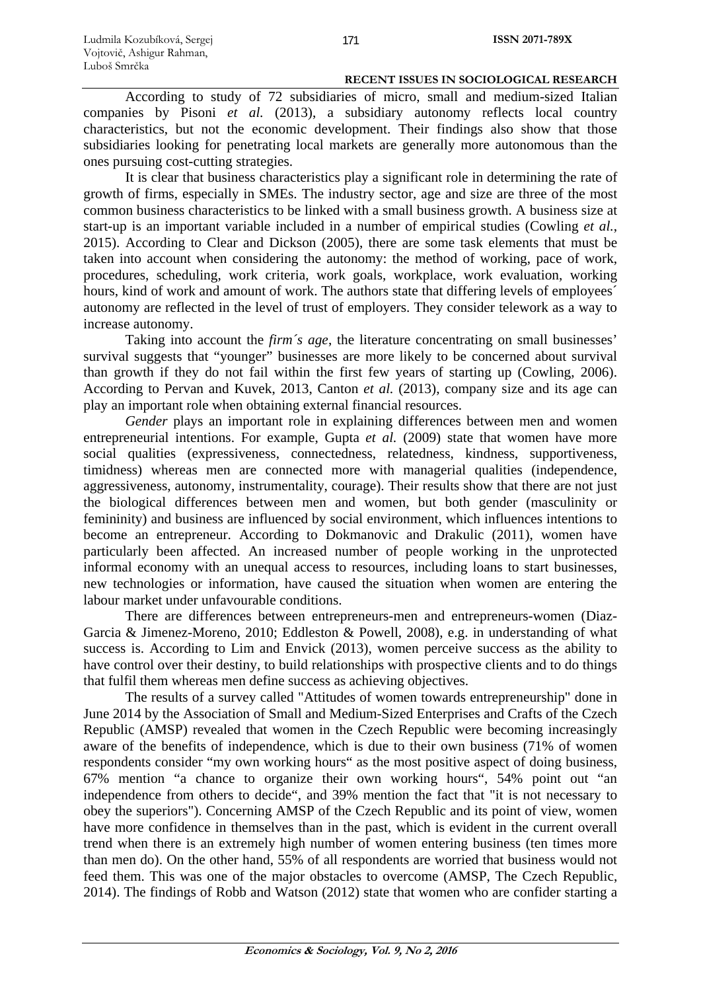According to study of 72 subsidiaries of micro, small and medium-sized Italian companies by Pisoni *et al.* (2013), a subsidiary autonomy reflects local country characteristics, but not the economic development. Their findings also show that those subsidiaries looking for penetrating local markets are generally more autonomous than the ones pursuing cost-cutting strategies.

It is clear that business characteristics play a significant role in determining the rate of growth of firms, especially in SMEs. The industry sector, age and size are three of the most common business characteristics to be linked with a small business growth. A business size at start-up is an important variable included in a number of empirical studies (Cowling *et al.*, 2015). According to Clear and Dickson (2005), there are some task elements that must be taken into account when considering the autonomy: the method of working, pace of work, procedures, scheduling, work criteria, work goals, workplace, work evaluation, working hours, kind of work and amount of work. The authors state that differing levels of employees<sup>'</sup> autonomy are reflected in the level of trust of employers. They consider telework as a way to increase autonomy.

Taking into account the *firm´s age*, the literature concentrating on small businesses' survival suggests that "younger" businesses are more likely to be concerned about survival than growth if they do not fail within the first few years of starting up (Cowling, 2006). According to Pervan and Kuvek, 2013, Canton *et al.* (2013), company size and its age can play an important role when obtaining external financial resources.

*Gender* plays an important role in explaining differences between men and women entrepreneurial intentions. For example, Gupta *et al.* (2009) state that women have more social qualities (expressiveness, connectedness, relatedness, kindness, supportiveness, timidness) whereas men are connected more with managerial qualities (independence, aggressiveness, autonomy, instrumentality, courage). Their results show that there are not just the biological differences between men and women, but both gender (masculinity or femininity) and business are influenced by social environment, which influences intentions to become an entrepreneur. According to Dokmanovic and Drakulic (2011), women have particularly been affected. An increased number of people working in the unprotected informal economy with an unequal access to resources, including loans to start businesses, new technologies or information, have caused the situation when women are entering the labour market under unfavourable conditions.

There are differences between entrepreneurs-men and entrepreneurs-women (Diaz-Garcia & Jimenez-Moreno, 2010; Eddleston & Powell, 2008), e.g. in understanding of what success is. According to Lim and Envick (2013), women perceive success as the ability to have control over their destiny, to build relationships with prospective clients and to do things that fulfil them whereas men define success as achieving objectives.

The results of a survey called "Attitudes of women towards entrepreneurship" done in June 2014 by the Association of Small and Medium-Sized Enterprises and Crafts of the Czech Republic (AMSP) revealed that women in the Czech Republic were becoming increasingly aware of the benefits of independence, which is due to their own business (71% of women respondents consider "my own working hours" as the most positive aspect of doing business, 67% mention "a chance to organize their own working hours", 54% point out "an independence from others to decide", and 39% mention the fact that "it is not necessary to obey the superiors"). Concerning AMSP of the Czech Republic and its point of view, women have more confidence in themselves than in the past, which is evident in the current overall trend when there is an extremely high number of women entering business (ten times more than men do). On the other hand, 55% of all respondents are worried that business would not feed them. This was one of the major obstacles to overcome (AMSP, The Czech Republic, 2014). The findings of Robb and Watson (2012) state that women who are confider starting a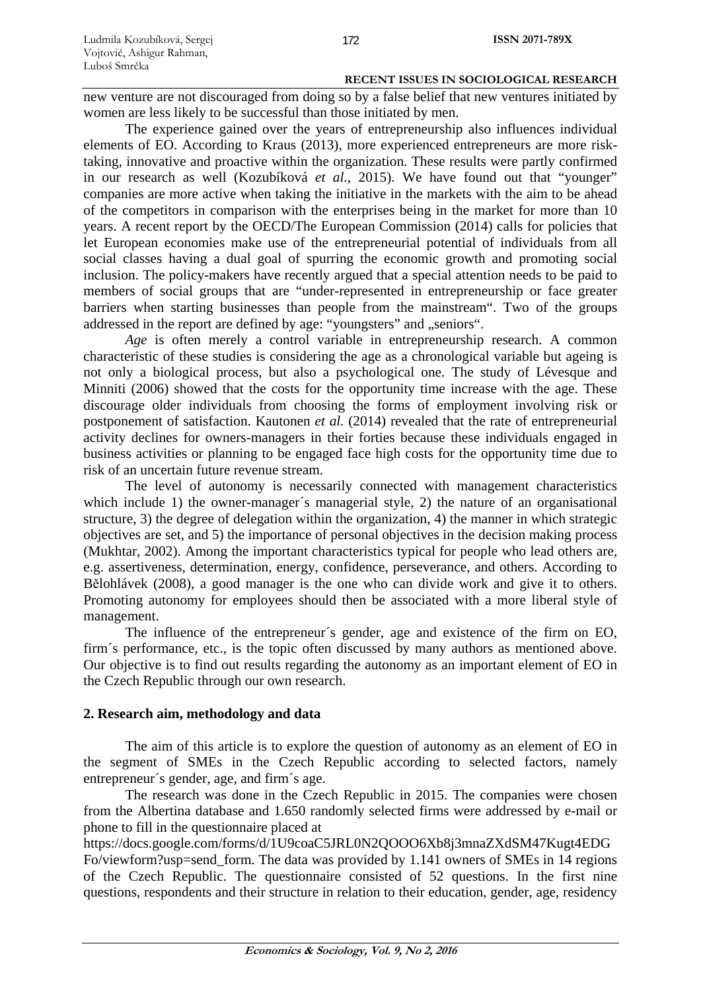new venture are not discouraged from doing so by a false belief that new ventures initiated by women are less likely to be successful than those initiated by men.

The experience gained over the years of entrepreneurship also influences individual elements of EO. According to Kraus (2013), more experienced entrepreneurs are more risktaking, innovative and proactive within the organization. These results were partly confirmed in our research as well (Kozubíková *et al.*, 2015). We have found out that "younger" companies are more active when taking the initiative in the markets with the aim to be ahead of the competitors in comparison with the enterprises being in the market for more than 10 years. A recent report by the OECD/The European Commission (2014) calls for policies that let European economies make use of the entrepreneurial potential of individuals from all social classes having a dual goal of spurring the economic growth and promoting social inclusion. The policy-makers have recently argued that a special attention needs to be paid to members of social groups that are "under-represented in entrepreneurship or face greater barriers when starting businesses than people from the mainstream". Two of the groups addressed in the report are defined by age: "youngsters" and "seniors".

*Age* is often merely a control variable in entrepreneurship research. A common characteristic of these studies is considering the age as a chronological variable but ageing is not only a biological process, but also a psychological one. The study of Lévesque and Minniti (2006) showed that the costs for the opportunity time increase with the age. These discourage older individuals from choosing the forms of employment involving risk or postponement of satisfaction. Kautonen *et al.* (2014) revealed that the rate of entrepreneurial activity declines for owners-managers in their forties because these individuals engaged in business activities or planning to be engaged face high costs for the opportunity time due to risk of an uncertain future revenue stream.

The level of autonomy is necessarily connected with management characteristics which include 1) the owner-manager's managerial style, 2) the nature of an organisational structure, 3) the degree of delegation within the organization, 4) the manner in which strategic objectives are set, and 5) the importance of personal objectives in the decision making process (Mukhtar, 2002). Among the important characteristics typical for people who lead others are, e.g. assertiveness, determination, energy, confidence, perseverance, and others. According to Bělohlávek (2008), a good manager is the one who can divide work and give it to others. Promoting autonomy for employees should then be associated with a more liberal style of management.

The influence of the entrepreneur´s gender, age and existence of the firm on EO, firm´s performance, etc., is the topic often discussed by many authors as mentioned above. Our objective is to find out results regarding the autonomy as an important element of EO in the Czech Republic through our own research.

# **2. Research aim, methodology and data**

The aim of this article is to explore the question of autonomy as an element of EO in the segment of SMEs in the Czech Republic according to selected factors, namely entrepreneur´s gender, age, and firm´s age.

The research was done in the Czech Republic in 2015. The companies were chosen from the Albertina database and 1.650 randomly selected firms were addressed by e-mail or phone to fill in the questionnaire placed at

https://docs.google.com/forms/d/1U9coaC5JRL0N2QOOO6Xb8j3mnaZXdSM47Kugt4EDG Fo/viewform?usp=send\_form. The data was provided by 1.141 owners of SMEs in 14 regions of the Czech Republic. The questionnaire consisted of 52 questions. In the first nine questions, respondents and their structure in relation to their education, gender, age, residency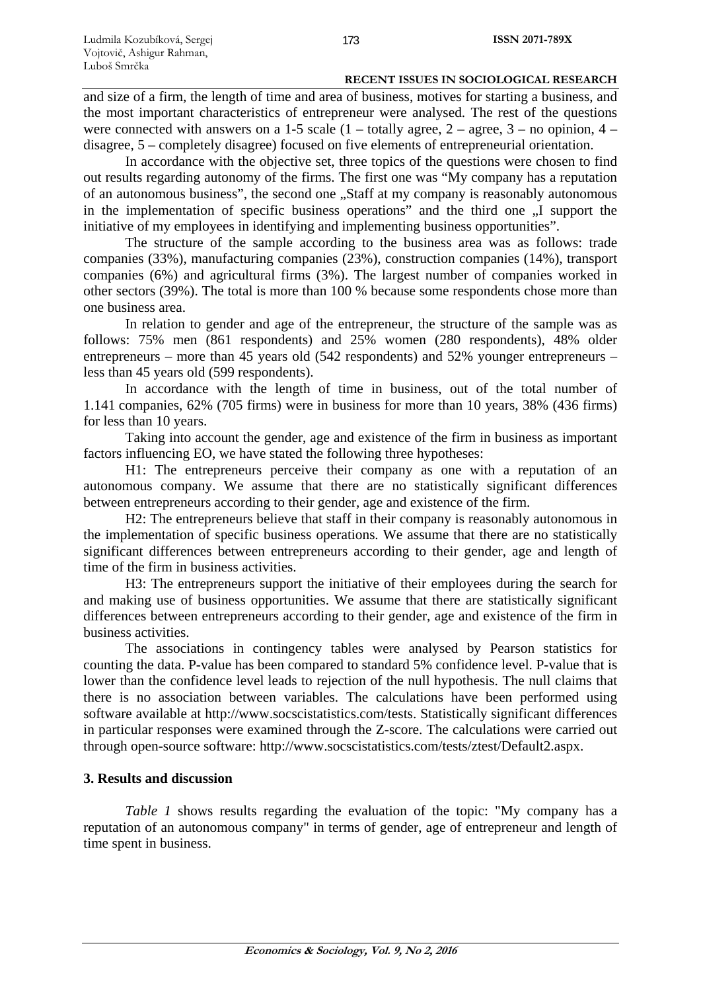and size of a firm, the length of time and area of business, motives for starting a business, and the most important characteristics of entrepreneur were analysed. The rest of the questions were connected with answers on a 1-5 scale  $(1 -$  totally agree,  $2 -$  agree,  $3 -$  no opinion,  $4$ disagree, 5 – completely disagree) focused on five elements of entrepreneurial orientation.

In accordance with the objective set, three topics of the questions were chosen to find out results regarding autonomy of the firms. The first one was "My company has a reputation of an autonomous business", the second one "Staff at my company is reasonably autonomous in the implementation of specific business operations" and the third one  $\overline{N}$  support the initiative of my employees in identifying and implementing business opportunities".

The structure of the sample according to the business area was as follows: trade companies (33%), manufacturing companies (23%), construction companies (14%), transport companies (6%) and agricultural firms (3%). The largest number of companies worked in other sectors (39%). The total is more than 100 % because some respondents chose more than one business area.

In relation to gender and age of the entrepreneur, the structure of the sample was as follows: 75% men (861 respondents) and 25% women (280 respondents), 48% older entrepreneurs – more than 45 years old (542 respondents) and 52% younger entrepreneurs – less than 45 years old (599 respondents).

In accordance with the length of time in business, out of the total number of 1.141 companies, 62% (705 firms) were in business for more than 10 years, 38% (436 firms) for less than 10 years.

Taking into account the gender, age and existence of the firm in business as important factors influencing EO, we have stated the following three hypotheses:

H1: The entrepreneurs perceive their company as one with a reputation of an autonomous company. We assume that there are no statistically significant differences between entrepreneurs according to their gender, age and existence of the firm.

H2: The entrepreneurs believe that staff in their company is reasonably autonomous in the implementation of specific business operations. We assume that there are no statistically significant differences between entrepreneurs according to their gender, age and length of time of the firm in business activities.

H3: The entrepreneurs support the initiative of their employees during the search for and making use of business opportunities. We assume that there are statistically significant differences between entrepreneurs according to their gender, age and existence of the firm in business activities.

The associations in contingency tables were analysed by Pearson statistics for counting the data. P-value has been compared to standard 5% confidence level. P-value that is lower than the confidence level leads to rejection of the null hypothesis. The null claims that there is no association between variables. The calculations have been performed using software available at http://www.socscistatistics.com/tests. Statistically significant differences in particular responses were examined through the Z-score. The calculations were carried out through open-source software: http://www.socscistatistics.com/tests/ztest/Default2.aspx.

# **3. Results and discussion**

*Table 1* shows results regarding the evaluation of the topic: "My company has a reputation of an autonomous company" in terms of gender, age of entrepreneur and length of time spent in business.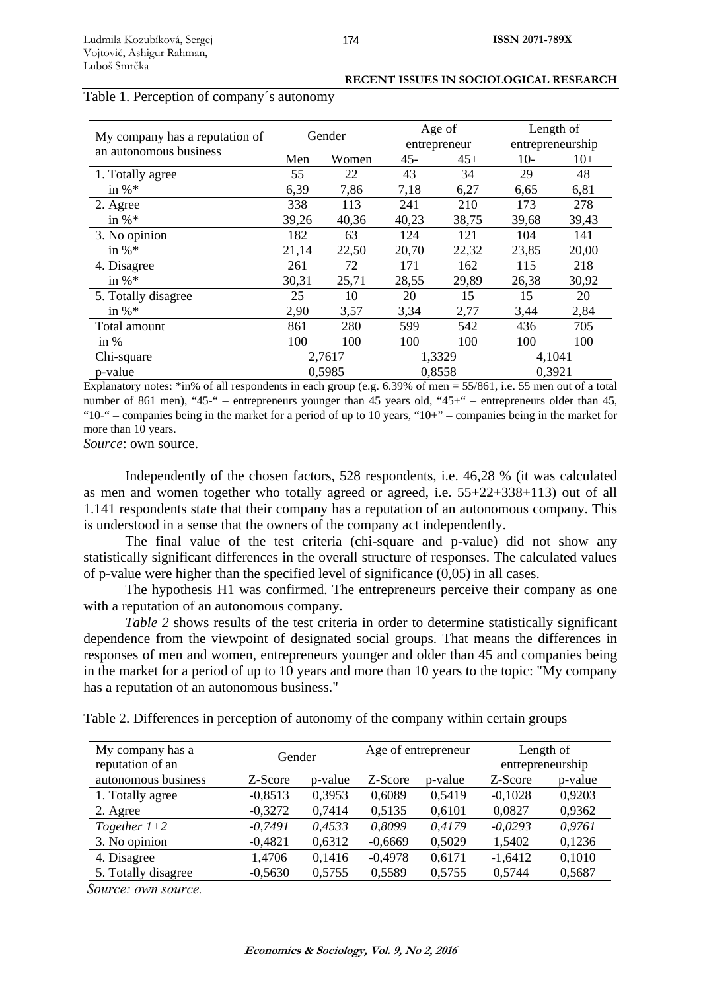|                                                          | Gender |       | Age of<br>entrepreneur |       | Length of        |       |
|----------------------------------------------------------|--------|-------|------------------------|-------|------------------|-------|
| My company has a reputation of<br>an autonomous business |        |       |                        |       | entrepreneurship |       |
|                                                          | Men    | Women | $45 -$                 | $45+$ | $10-$            | $10+$ |
| 1. Totally agree                                         | 55     | 22    | 43                     | 34    | 29               | 48    |
| in % $*$                                                 | 6,39   | 7,86  | 7,18                   | 6,27  | 6,65             | 6,81  |
| 2. Agree                                                 | 338    | 113   | 241                    | 210   | 173              | 278   |
| in % $*$                                                 | 39,26  | 40,36 | 40,23                  | 38,75 | 39,68            | 39,43 |
| 3. No opinion                                            | 182    | 63    | 124                    | 121   | 104              | 141   |
| in % $*$                                                 | 21,14  | 22,50 | 20,70                  | 22,32 | 23,85            | 20,00 |
| 4. Disagree                                              | 261    | 72    | 171                    | 162   | 115              | 218   |
| in % $*$                                                 | 30,31  | 25,71 | 28,55                  | 29,89 | 26,38            | 30,92 |
| 5. Totally disagree                                      | 25     | 10    | 20                     | 15    | 15               | 20    |
| in % $*$                                                 | 2,90   | 3,57  | 3,34                   | 2,77  | 3,44             | 2,84  |
| Total amount                                             | 861    | 280   | 599                    | 542   | 436              | 705   |
| in $%$                                                   | 100    | 100   | 100                    | 100   | 100              | 100   |
| Chi-square                                               | 2,7617 |       | 1,3329                 |       | 4,1041           |       |
| p-value                                                  | 0,5985 |       | 0,8558                 |       | 0,3921           |       |

### Table 1. Perception of company´s autonomy

Explanatory notes: \*in% of all respondents in each group (e.g. 6.39% of men =  $55/861$ , i.e. 55 men out of a total number of 861 men), "45-" − entrepreneurs younger than 45 years old, "45+" − entrepreneurs older than 45, "10-" − companies being in the market for a period of up to 10 years, "10+" − companies being in the market for more than 10 years.

*Source*: own source.

Independently of the chosen factors, 528 respondents, i.e. 46,28 % (it was calculated as men and women together who totally agreed or agreed, i.e. 55+22+338+113) out of all 1.141 respondents state that their company has a reputation of an autonomous company. This is understood in a sense that the owners of the company act independently.

The final value of the test criteria (chi-square and p-value) did not show any statistically significant differences in the overall structure of responses. The calculated values of p-value were higher than the specified level of significance (0,05) in all cases.

The hypothesis H1 was confirmed. The entrepreneurs perceive their company as one with a reputation of an autonomous company.

*Table 2* shows results of the test criteria in order to determine statistically significant dependence from the viewpoint of designated social groups. That means the differences in responses of men and women, entrepreneurs younger and older than 45 and companies being in the market for a period of up to 10 years and more than 10 years to the topic: "My company has a reputation of an autonomous business."

| My company has a<br>reputation of an | Gender    |         |           | Age of entrepreneur | Length of<br>entrepreneurship |         |
|--------------------------------------|-----------|---------|-----------|---------------------|-------------------------------|---------|
| autonomous business                  | Z-Score   | p-value | Z-Score   | p-value             | Z-Score                       | p-value |
| 1. Totally agree                     | $-0,8513$ | 0,3953  | 0,6089    | 0,5419              | $-0,1028$                     | 0,9203  |
| 2. Agree                             | $-0,3272$ | 0,7414  | 0,5135    | 0,6101              | 0,0827                        | 0,9362  |
| Together $1+2$                       | $-0,7491$ | 0,4533  | 0,8099    | 0,4179              | $-0.0293$                     | 0,9761  |
| 3. No opinion                        | $-0,4821$ | 0,6312  | $-0,6669$ | 0,5029              | 1,5402                        | 0,1236  |
| 4. Disagree                          | 1,4706    | 0,1416  | $-0,4978$ | 0,6171              | $-1,6412$                     | 0,1010  |
| 5. Totally disagree                  | $-0,5630$ | 0,5755  | 0,5589    | 0,5755              | 0,5744                        | 0,5687  |

*Source: own source.*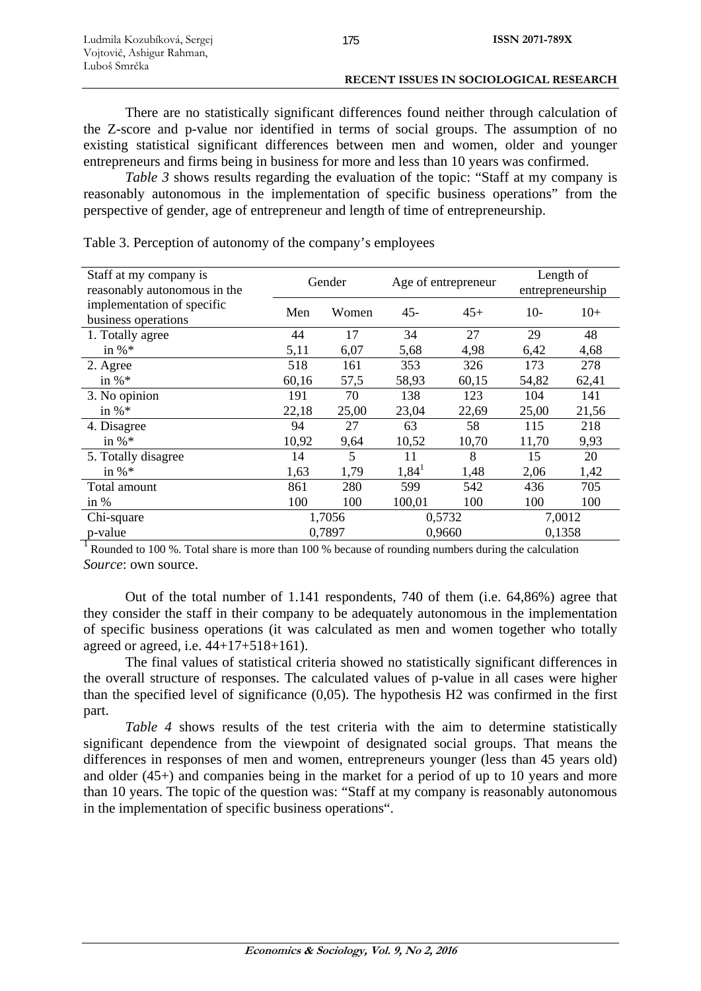There are no statistically significant differences found neither through calculation of the Z-score and p-value nor identified in terms of social groups. The assumption of no existing statistical significant differences between men and women, older and younger entrepreneurs and firms being in business for more and less than 10 years was confirmed.

*Table 3* shows results regarding the evaluation of the topic: "Staff at my company is reasonably autonomous in the implementation of specific business operations" from the perspective of gender, age of entrepreneur and length of time of entrepreneurship.

| Staff at my company is<br>reasonably autonomous in the | Gender |        | Age of entrepreneur |       | Length of<br>entrepreneurship |       |
|--------------------------------------------------------|--------|--------|---------------------|-------|-------------------------------|-------|
| implementation of specific<br>business operations      | Men    | Women  | $45 -$              | $45+$ | $10-$                         | $10+$ |
| 1. Totally agree                                       | 44     | 17     | 34                  | 27    | 29                            | 48    |
| in % $*$                                               | 5,11   | 6,07   | 5,68                | 4,98  | 6,42                          | 4,68  |
| 2. Agree                                               | 518    | 161    | 353                 | 326   | 173                           | 278   |
| in % $*$                                               | 60,16  | 57,5   | 58,93               | 60,15 | 54,82                         | 62,41 |
| 3. No opinion                                          | 191    | 70     | 138                 | 123   | 104                           | 141   |
| in % $*$                                               | 22,18  | 25,00  | 23,04               | 22,69 | 25,00                         | 21,56 |
| 4. Disagree                                            | 94     | 27     | 63                  | 58    | 115                           | 218   |
| in $\%$ *                                              | 10,92  | 9,64   | 10,52               | 10,70 | 11,70                         | 9,93  |
| 5. Totally disagree                                    | 14     | 5      | 11                  | 8     | 15                            | 20    |
| in $\%$ *                                              | 1,63   | 1,79   | $1,84^1$            | 1,48  | 2,06                          | 1,42  |
| Total amount                                           | 861    | 280    | 599                 | 542   | 436                           | 705   |
| in $%$                                                 | 100    | 100    | 100,01              | 100   | 100                           | 100   |
| Chi-square                                             |        | 1,7056 | 0,5732              |       | 7,0012                        |       |
| p-value                                                | 0,7897 |        | 0,9660              |       | 0,1358                        |       |

Table 3. Perception of autonomy of the company's employees

<sup>1</sup> Rounded to 100 %. Total share is more than 100 % because of rounding numbers during the calculation *Source*: own source.

Out of the total number of 1.141 respondents, 740 of them (i.e. 64,86%) agree that they consider the staff in their company to be adequately autonomous in the implementation of specific business operations (it was calculated as men and women together who totally agreed or agreed, i.e. 44+17+518+161).

The final values of statistical criteria showed no statistically significant differences in the overall structure of responses. The calculated values of p-value in all cases were higher than the specified level of significance (0,05). The hypothesis H2 was confirmed in the first part.

*Table 4* shows results of the test criteria with the aim to determine statistically significant dependence from the viewpoint of designated social groups. That means the differences in responses of men and women, entrepreneurs younger (less than 45 years old) and older (45+) and companies being in the market for a period of up to 10 years and more than 10 years. The topic of the question was: "Staff at my company is reasonably autonomous in the implementation of specific business operations".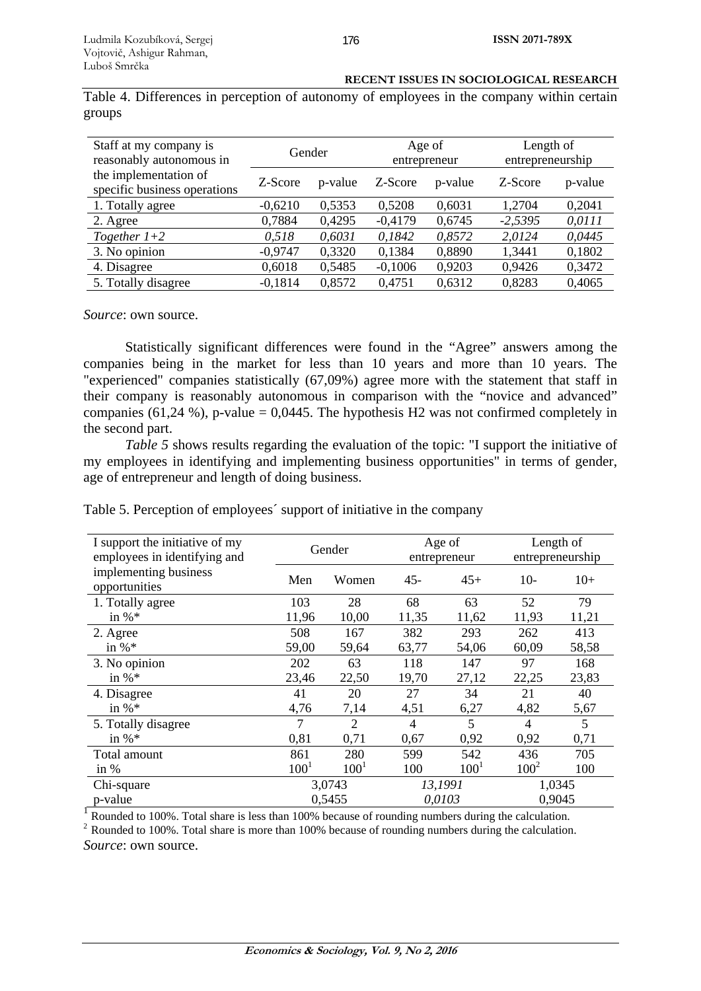| <b>RECENT ISSUES IN SOCIOLOGICAL RESEARCH</b> |
|-----------------------------------------------|
|-----------------------------------------------|

Table 4. Differences in perception of autonomy of employees in the company within certain groups

| Staff at my company is<br>reasonably autonomous in    | Gender    |         |           | Age of<br>entrepreneur | Length of<br>entrepreneurship |         |
|-------------------------------------------------------|-----------|---------|-----------|------------------------|-------------------------------|---------|
| the implementation of<br>specific business operations | Z-Score   | p-value | Z-Score   | p-value                | Z-Score                       | p-value |
| 1. Totally agree                                      | $-0,6210$ | 0,5353  | 0.5208    | 0,6031                 | 1,2704                        | 0,2041  |
| 2. Agree                                              | 0,7884    | 0,4295  | $-0,4179$ | 0,6745                 | $-2,5395$                     | 0,0111  |
| Together $1+2$                                        | 0,518     | 0,6031  | 0,1842    | 0,8572                 | 2,0124                        | 0,0445  |
| 3. No opinion                                         | $-0.9747$ | 0,3320  | 0,1384    | 0,8890                 | 1,3441                        | 0,1802  |
| 4. Disagree                                           | 0,6018    | 0,5485  | $-0,1006$ | 0,9203                 | 0,9426                        | 0,3472  |
| 5. Totally disagree                                   | $-0,1814$ | 0,8572  | 0,4751    | 0,6312                 | 0,8283                        | 0,4065  |

*Source*: own source.

Statistically significant differences were found in the "Agree" answers among the companies being in the market for less than 10 years and more than 10 years. The "experienced" companies statistically (67,09%) agree more with the statement that staff in their company is reasonably autonomous in comparison with the "novice and advanced" companies (61,24 %), p-value = 0,0445. The hypothesis H2 was not confirmed completely in the second part.

*Table 5* shows results regarding the evaluation of the topic: "I support the initiative of my employees in identifying and implementing business opportunities" in terms of gender, age of entrepreneur and length of doing business.

| Table 5. Perception of employees' support of initiative in the company |  |  |  |
|------------------------------------------------------------------------|--|--|--|
|                                                                        |  |  |  |

| I support the initiative of my<br>employees in identifying and                                     | Gender    |                  | Age of<br>entrepreneur |           | Length of<br>entrepreneurship |       |  |  |
|----------------------------------------------------------------------------------------------------|-----------|------------------|------------------------|-----------|-------------------------------|-------|--|--|
| implementing business<br>opportunities                                                             | Men       | Women            | $45 -$                 | $45+$     | $10-$                         | $10+$ |  |  |
| 1. Totally agree                                                                                   | 103       | 28               | 68                     | 63        | 52                            | 79    |  |  |
| in % $*$                                                                                           | 11,96     | 10,00            | 11,35                  | 11,62     | 11,93                         | 11,21 |  |  |
| 2. Agree                                                                                           | 508       | 167              | 382                    | 293       | 262                           | 413   |  |  |
| in $\%$ *                                                                                          | 59,00     | 59,64            | 63,77                  | 54,06     | 60,09                         | 58,58 |  |  |
| 3. No opinion                                                                                      | 202       | 63               | 118                    | 147       | 97                            | 168   |  |  |
| in $\%$ *                                                                                          | 23,46     | 22,50            | 19,70                  | 27,12     | 22,25                         | 23,83 |  |  |
| 4. Disagree                                                                                        | 41        | 20               | 27                     | 34        | 21                            | 40    |  |  |
| in $\%$ *                                                                                          | 4,76      | 7,14             | 4,51                   | 6,27      | 4,82                          | 5,67  |  |  |
| 5. Totally disagree                                                                                | 7         | $\overline{2}$   | 4                      | 5         | 4                             | 5     |  |  |
| in $\%$ *                                                                                          | 0,81      | 0,71             | 0,67                   | 0,92      | 0,92                          | 0,71  |  |  |
| Total amount                                                                                       | 861       | 280              | 599                    | 542       | 436                           | 705   |  |  |
| in $%$                                                                                             | $100^{1}$ | 100 <sup>1</sup> | 100                    | $100^{1}$ | $100^2$                       | 100   |  |  |
| Chi-square                                                                                         | 3,0743    |                  | 13,1991                |           | 1,0345                        |       |  |  |
| p-value                                                                                            |           | 0,5455           | 0,0103                 |           | 0,9045                        |       |  |  |
| Rounded to 100%. Total share is less than 100% because of rounding numbers during the calculation. |           |                  |                        |           |                               |       |  |  |

<sup>2</sup> Rounded to 100%. Total share is more than 100% because of rounding numbers during the calculation. *Source*: own source.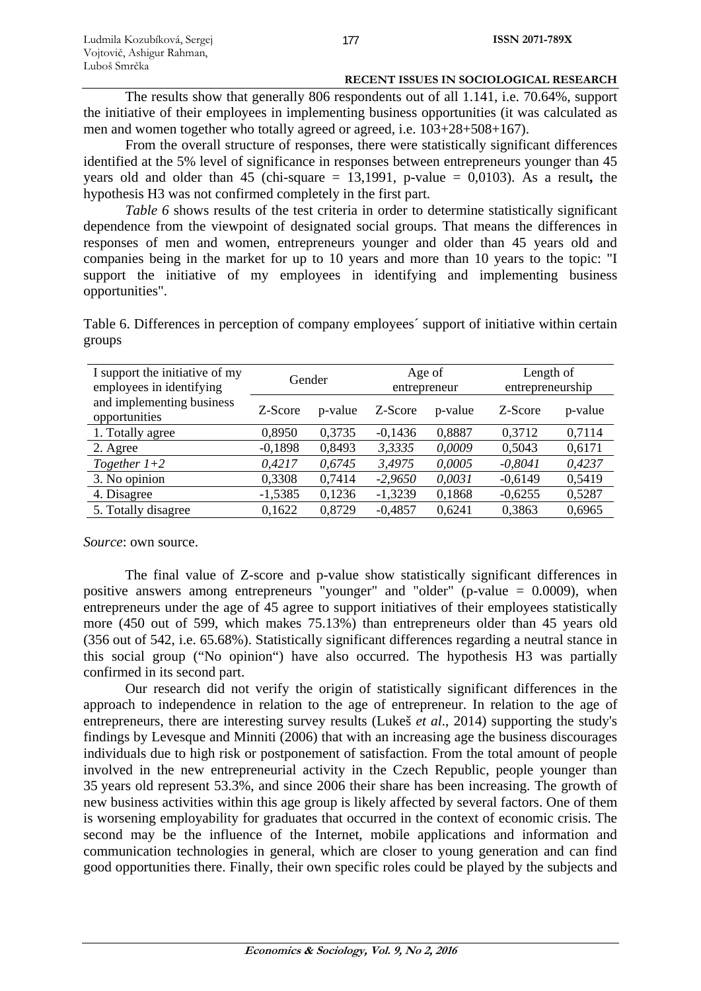The results show that generally 806 respondents out of all 1.141, i.e. 70.64%, support the initiative of their employees in implementing business opportunities (it was calculated as men and women together who totally agreed or agreed, i.e. 103+28+508+167).

From the overall structure of responses, there were statistically significant differences identified at the 5% level of significance in responses between entrepreneurs younger than 45 years old and older than 45 (chi-square  $= 13,1991$ , p-value  $= 0,0103$ ). As a result, the hypothesis H3 was not confirmed completely in the first part.

*Table 6* shows results of the test criteria in order to determine statistically significant dependence from the viewpoint of designated social groups. That means the differences in responses of men and women, entrepreneurs younger and older than 45 years old and companies being in the market for up to 10 years and more than 10 years to the topic: "I support the initiative of my employees in identifying and implementing business opportunities".

Table 6. Differences in perception of company employees´ support of initiative within certain groups

| I support the initiative of my<br>employees in identifying | Gender    |         | Age of<br>entrepreneur |         | Length of<br>entrepreneurship |         |
|------------------------------------------------------------|-----------|---------|------------------------|---------|-------------------------------|---------|
| and implementing business<br>opportunities                 | Z-Score   | p-value | Z-Score                | p-value | Z-Score                       | p-value |
| 1. Totally agree                                           | 0,8950    | 0,3735  | $-0,1436$              | 0,8887  | 0,3712                        | 0,7114  |
| 2. Agree                                                   | $-0,1898$ | 0,8493  | 3,3335                 | 0,0009  | 0,5043                        | 0,6171  |
| Together $1+2$                                             | 0,4217    | 0,6745  | 3,4975                 | 0,0005  | $-0.8041$                     | 0,4237  |
| 3. No opinion                                              | 0,3308    | 0,7414  | $-2,9650$              | 0,0031  | $-0,6149$                     | 0,5419  |
| 4. Disagree                                                | $-1,5385$ | 0,1236  | $-1,3239$              | 0,1868  | $-0,6255$                     | 0,5287  |
| 5. Totally disagree                                        | 0,1622    | 0,8729  | $-0,4857$              | 0.6241  | 0.3863                        | 0,6965  |

*Source*: own source.

The final value of Z-score and p-value show statistically significant differences in positive answers among entrepreneurs "younger" and "older" (p-value = 0.0009), when entrepreneurs under the age of 45 agree to support initiatives of their employees statistically more (450 out of 599, which makes 75.13%) than entrepreneurs older than 45 years old (356 out of 542, i.e. 65.68%). Statistically significant differences regarding a neutral stance in this social group ("No opinion") have also occurred. The hypothesis H3 was partially confirmed in its second part.

Our research did not verify the origin of statistically significant differences in the approach to independence in relation to the age of entrepreneur. In relation to the age of entrepreneurs, there are interesting survey results (Lukeš *et al*., 2014) supporting the study's findings by Levesque and Minniti (2006) that with an increasing age the business discourages individuals due to high risk or postponement of satisfaction. From the total amount of people involved in the new entrepreneurial activity in the Czech Republic, people younger than 35 years old represent 53.3%, and since 2006 their share has been increasing. The growth of new business activities within this age group is likely affected by several factors. One of them is worsening employability for graduates that occurred in the context of economic crisis. The second may be the influence of the Internet, mobile applications and information and communication technologies in general, which are closer to young generation and can find good opportunities there. Finally, their own specific roles could be played by the subjects and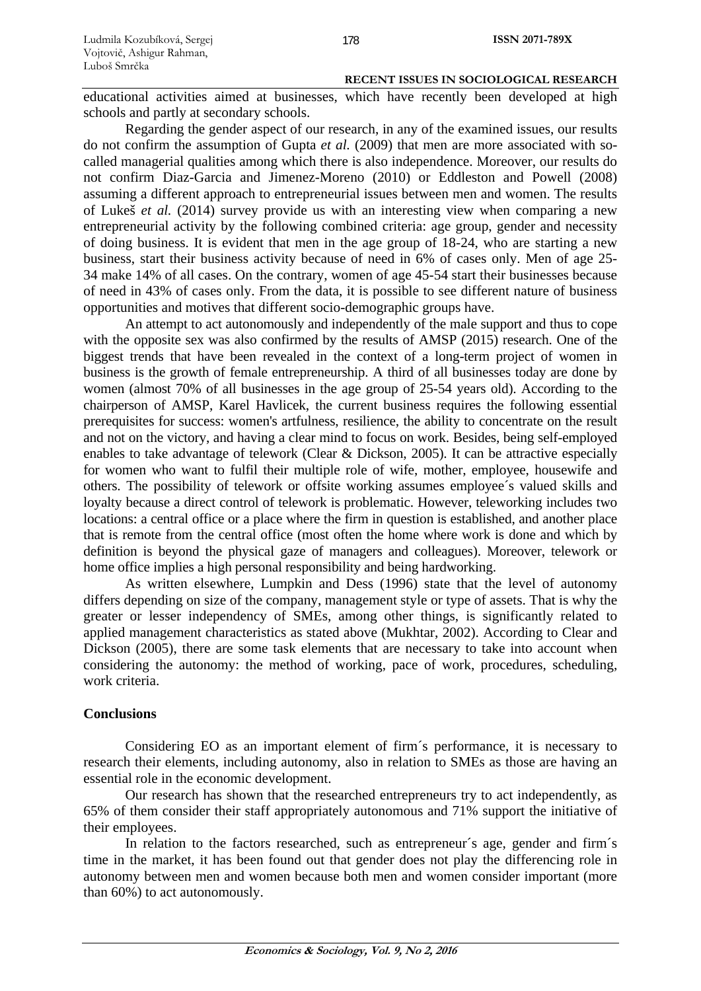educational activities aimed at businesses, which have recently been developed at high schools and partly at secondary schools.

Regarding the gender aspect of our research, in any of the examined issues, our results do not confirm the assumption of Gupta *et al.* (2009) that men are more associated with socalled managerial qualities among which there is also independence. Moreover, our results do not confirm Diaz-Garcia and Jimenez-Moreno (2010) or Eddleston and Powell (2008) assuming a different approach to entrepreneurial issues between men and women. The results of Lukeš *et al.* (2014) survey provide us with an interesting view when comparing a new entrepreneurial activity by the following combined criteria: age group, gender and necessity of doing business. It is evident that men in the age group of 18-24, who are starting a new business, start their business activity because of need in 6% of cases only. Men of age 25- 34 make 14% of all cases. On the contrary, women of age 45-54 start their businesses because of need in 43% of cases only. From the data, it is possible to see different nature of business opportunities and motives that different socio-demographic groups have.

An attempt to act autonomously and independently of the male support and thus to cope with the opposite sex was also confirmed by the results of AMSP (2015) research. One of the biggest trends that have been revealed in the context of a long-term project of women in business is the growth of female entrepreneurship. A third of all businesses today are done by women (almost 70% of all businesses in the age group of 25-54 years old). According to the chairperson of AMSP, Karel Havlicek, the current business requires the following essential prerequisites for success: women's artfulness, resilience, the ability to concentrate on the result and not on the victory, and having a clear mind to focus on work. Besides, being self-employed enables to take advantage of telework (Clear & Dickson, 2005). It can be attractive especially for women who want to fulfil their multiple role of wife, mother, employee, housewife and others. The possibility of telework or offsite working assumes employee´s valued skills and loyalty because a direct control of telework is problematic. However, teleworking includes two locations: a central office or a place where the firm in question is established, and another place that is remote from the central office (most often the home where work is done and which by definition is beyond the physical gaze of managers and colleagues). Moreover, telework or home office implies a high personal responsibility and being hardworking.

As written elsewhere, Lumpkin and Dess (1996) state that the level of autonomy differs depending on size of the company, management style or type of assets. That is why the greater or lesser independency of SMEs, among other things, is significantly related to applied management characteristics as stated above (Mukhtar, 2002). According to Clear and Dickson (2005), there are some task elements that are necessary to take into account when considering the autonomy: the method of working, pace of work, procedures, scheduling, work criteria.

# **Conclusions**

Considering EO as an important element of firm´s performance, it is necessary to research their elements, including autonomy, also in relation to SMEs as those are having an essential role in the economic development.

Our research has shown that the researched entrepreneurs try to act independently, as 65% of them consider their staff appropriately autonomous and 71% support the initiative of their employees.

In relation to the factors researched, such as entrepreneur's age, gender and firm's time in the market, it has been found out that gender does not play the differencing role in autonomy between men and women because both men and women consider important (more than 60%) to act autonomously.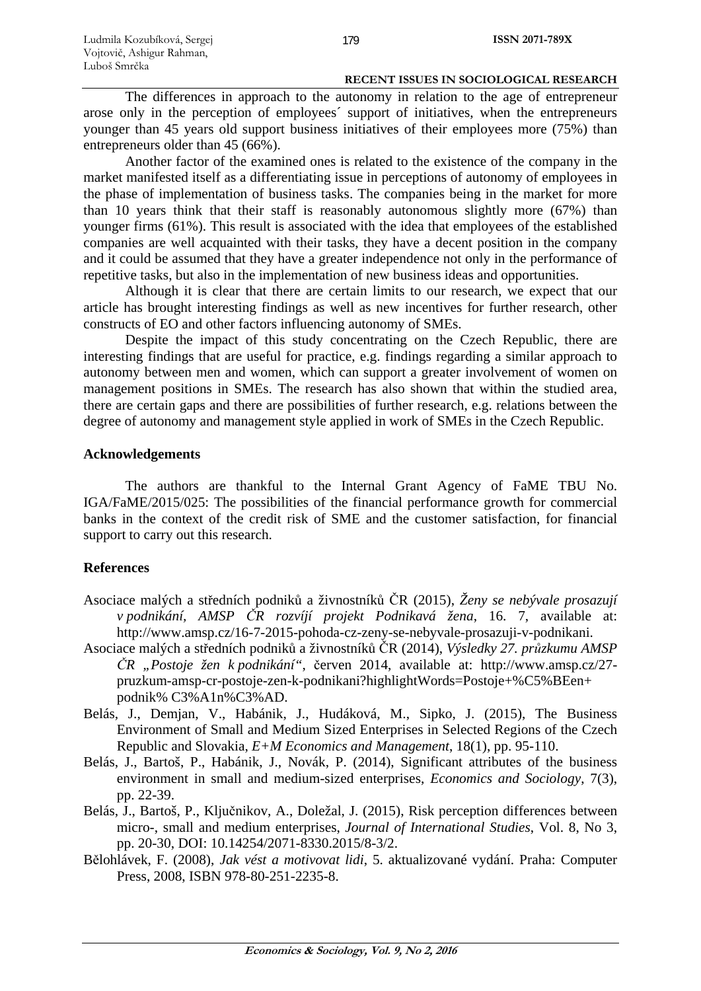The differences in approach to the autonomy in relation to the age of entrepreneur arose only in the perception of employees´ support of initiatives, when the entrepreneurs younger than 45 years old support business initiatives of their employees more (75%) than entrepreneurs older than 45 (66%).

Another factor of the examined ones is related to the existence of the company in the market manifested itself as a differentiating issue in perceptions of autonomy of employees in the phase of implementation of business tasks. The companies being in the market for more than 10 years think that their staff is reasonably autonomous slightly more (67%) than younger firms (61%). This result is associated with the idea that employees of the established companies are well acquainted with their tasks, they have a decent position in the company and it could be assumed that they have a greater independence not only in the performance of repetitive tasks, but also in the implementation of new business ideas and opportunities.

Although it is clear that there are certain limits to our research, we expect that our article has brought interesting findings as well as new incentives for further research, other constructs of EO and other factors influencing autonomy of SMEs.

Despite the impact of this study concentrating on the Czech Republic, there are interesting findings that are useful for practice, e.g. findings regarding a similar approach to autonomy between men and women, which can support a greater involvement of women on management positions in SMEs. The research has also shown that within the studied area, there are certain gaps and there are possibilities of further research, e.g. relations between the degree of autonomy and management style applied in work of SMEs in the Czech Republic.

# **Acknowledgements**

The authors are thankful to the Internal Grant Agency of FaME TBU No. IGA/FaME/2015/025: The possibilities of the financial performance growth for commercial banks in the context of the credit risk of SME and the customer satisfaction, for financial support to carry out this research.

# **References**

- Asociace malých a středních podniků a živnostníků ČR (2015), *Ženy se nebývale prosazují v podnikání, AMSP ČR rozvíjí projekt Podnikavá žena*, 16. 7, available at: http://www.amsp.cz/16-7-2015-pohoda-cz-zeny-se-nebyvale-prosazuji-v-podnikani.
- Asociace malých a středních podniků a živnostníků ČR (2014), *Výsledky 27. průzkumu AMSP ČR "Postoje žen k podnikání"*, červen 2014, available at: http://www.amsp.cz/27 pruzkum-amsp-cr-postoje-zen-k-podnikani?highlightWords=Postoje+%C5%BEen+ podnik% C3%A1n%C3%AD.
- Belás, J., Demjan, V., Habánik, J., Hudáková, M., Sipko, J. (2015), The Business Environment of Small and Medium Sized Enterprises in Selected Regions of the Czech Republic and Slovakia, *E+M Economics and Management*, 18(1), pp. 95-110.
- Belás, J., Bartoš, P., Habánik, J., Novák, P. (2014), Significant attributes of the business environment in small and medium-sized enterprises, *Economics and Sociology*, 7(3), pp. 22-39.
- Belás, J., Bartoš, P., Ključnikov, A., Doležal, J. (2015), Risk perception differences between micro-, small and medium enterprises, *Journal of International Studies*, Vol. 8, No 3, pp. 20-30, DOI: 10.14254/2071-8330.2015/8-3/2.
- Bělohlávek, F. (2008), *Jak vést a motivovat lidi*, 5. aktualizované vydání. Praha: Computer Press, 2008, ISBN 978-80-251-2235-8.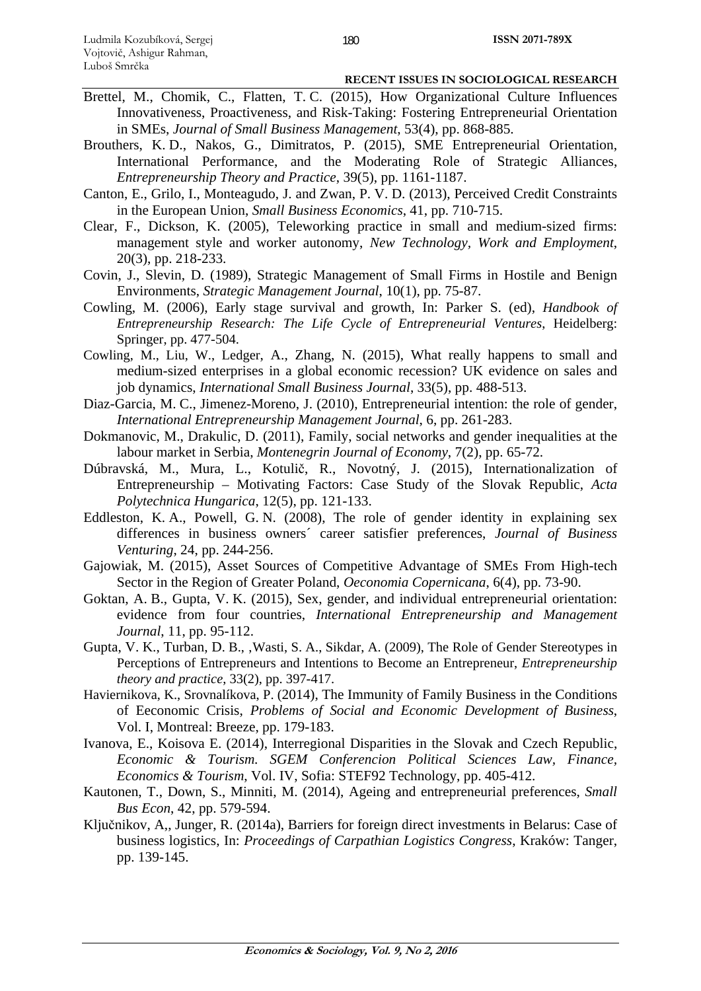- Brettel, M., Chomik, C., Flatten, T. C. (2015), How Organizational Culture Influences Innovativeness, Proactiveness, and Risk-Taking: Fostering Entrepreneurial Orientation in SMEs, *Journal of Small Business Management*, 53(4), pp. 868-885.
- Brouthers, K. D., Nakos, G., Dimitratos, P. (2015), SME Entrepreneurial Orientation, International Performance, and the Moderating Role of Strategic Alliances, *Entrepreneurship Theory and Practice*, 39(5), pp. 1161-1187.
- Canton, E., Grilo, I., Monteagudo, J. and Zwan, P. V. D. (2013), Perceived Credit Constraints in the European Union, *Small Business Economics*, 41, pp. 710-715.
- Clear, F., Dickson, K. (2005), Teleworking practice in small and medium-sized firms: management style and worker autonomy, *New Technology, Work and Employment*, 20(3), pp. 218-233.
- Covin, J., Slevin, D. (1989), Strategic Management of Small Firms in Hostile and Benign Environments, *Strategic Management Journal*, 10(1), pp. 75-87.
- Cowling, M. (2006), Early stage survival and growth, In: Parker S. (ed), *Handbook of Entrepreneurship Research: The Life Cycle of Entrepreneurial Ventures*, Heidelberg: Springer, pp. 477-504.
- Cowling, M., Liu, W., Ledger, A., Zhang, N. (2015), What really happens to small and medium-sized enterprises in a global economic recession? UK evidence on sales and job dynamics, *International Small Business Journal*, 33(5), pp. 488-513.
- Diaz-Garcia, M. C., Jimenez-Moreno, J. (2010), Entrepreneurial intention: the role of gender, *International Entrepreneurship Management Journal*, 6, pp. 261-283.
- Dokmanovic, M., Drakulic, D. (2011), Family, social networks and gender inequalities at the labour market in Serbia, *Montenegrin Journal of Economy*, 7(2), pp. 65-72.
- Dúbravská, M., Mura, L., Kotulič, R., Novotný, J. (2015), Internationalization of Entrepreneurship – Motivating Factors: Case Study of the Slovak Republic, *Acta Polytechnica Hungarica*, 12(5), pp. 121-133.
- Eddleston, K. A., Powell, G. N. (2008), The role of gender identity in explaining sex differences in business owners´ career satisfier preferences, *Journal of Business Venturing*, 24, pp. 244-256.
- Gajowiak, M. (2015), Asset Sources of Competitive Advantage of SMEs From High-tech Sector in the Region of Greater Poland, *Oeconomia Copernicana*, 6(4), pp. 73-90.
- Goktan, A. B., Gupta, V. K. (2015), Sex, gender, and individual entrepreneurial orientation: evidence from four countries, *International Entrepreneurship and Management Journal*, 11, pp. 95-112.
- Gupta, V. K., Turban, D. B., 'Wasti, S. A., Sikdar, A. (2009), The Role of Gender Stereotypes in Perceptions of Entrepreneurs and Intentions to Become an Entrepreneur, *Entrepreneurship theory and practice*, 33(2), pp. 397-417.
- Haviernikova, K., Srovnalíkova, P. (2014), The Immunity of Family Business in the Conditions of Eeconomic Crisis, *Problems of Social and Economic Development of Business*, Vol. I, Montreal: Breeze, pp. 179-183.
- Ivanova, E., Koisova E. (2014), Interregional Disparities in the Slovak and Czech Republic, *Economic & Tourism. SGEM Conferencion Political Sciences Law, Finance, Economics & Tourism*, Vol. IV, Sofia: STEF92 Technology, pp. 405-412.
- Kautonen, T., Down, S., Minniti, M. (2014), Ageing and entrepreneurial preferences, *Small Bus Econ*, 42, pp. 579-594.
- Ključnikov, A,, Junger, R. (2014a), Barriers for foreign direct investments in Belarus: Case of business logistics, In: *Proceedings of Carpathian Logistics Congress*, Kraków: Tanger, pp. 139-145.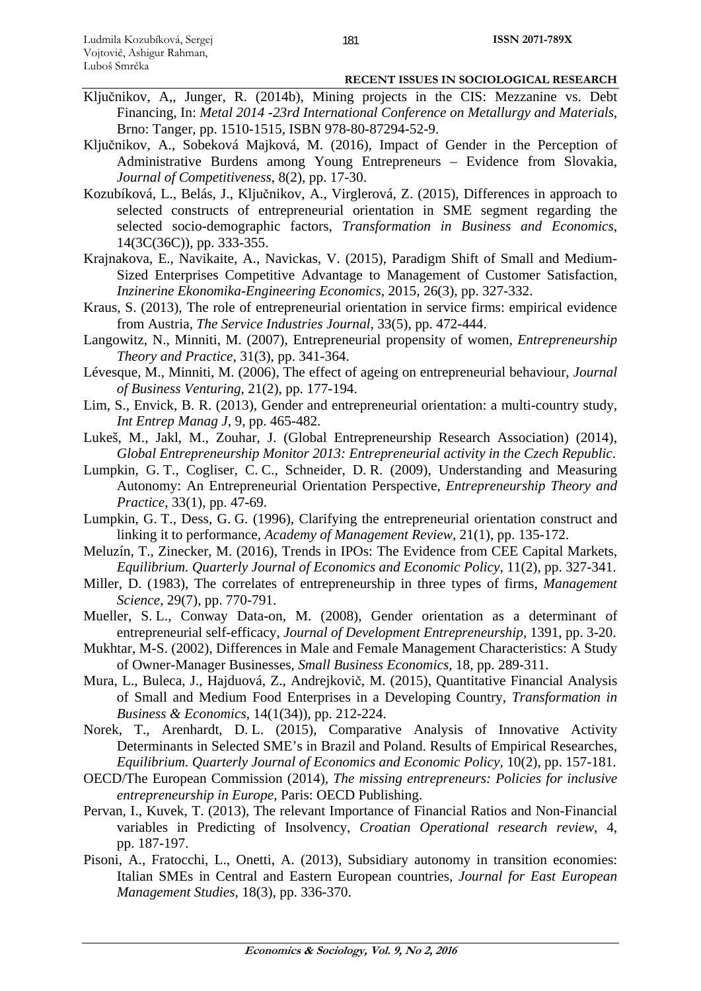- Ključnikov, A,, Junger, R. (2014b), Mining projects in the CIS: Mezzanine vs. Debt Financing, In: *Metal 2014 -23rd International Conference on Metallurgy and Materials*, Brno: Tanger, pp. 1510-1515, ISBN 978-80-87294-52-9.
- Ključnikov, A., Sobeková Majková, M. (2016), Impact of Gender in the Perception of Administrative Burdens among Young Entrepreneurs – Evidence from Slovakia, *Journal of Competitiveness*, 8(2), pp. 17-30.
- Kozubíková, L., Belás, J., Ključnikov, A., Virglerová, Z. (2015), Differences in approach to selected constructs of entrepreneurial orientation in SME segment regarding the selected socio-demographic factors, *Transformation in Business and Economics*, 14(3C(36C)), pp. 333-355.
- Krajnakova, E., Navikaite, A., Navickas, V. (2015), Paradigm Shift of Small and Medium-Sized Enterprises Competitive Advantage to Management of Customer Satisfaction, *Inzinerine Ekonomika-Engineering Economics*, 2015, 26(3), pp. 327-332.
- Kraus, S. (2013), The role of entrepreneurial orientation in service firms: empirical evidence from Austria, *The Service Industries Journal*, 33(5), pp. 472-444.
- Langowitz, N., Minniti, M. (2007), Entrepreneurial propensity of women, *Entrepreneurship Theory and Practice*, 31(3), pp. 341-364.
- Lévesque, M., Minniti, M. (2006), The effect of ageing on entrepreneurial behaviour, *Journal of Business Venturing*, 21(2), pp. 177-194.
- Lim, S., Envick, B. R. (2013), Gender and entrepreneurial orientation: a multi-country study, *Int Entrep Manag J*, 9, pp. 465-482.
- Lukeš, M., Jakl, M., Zouhar, J. (Global Entrepreneurship Research Association) (2014), *Global Entrepreneurship Monitor 2013: Entrepreneurial activity in the Czech Republic*.
- Lumpkin, G. T., Cogliser, C. C., Schneider, D. R. (2009), Understanding and Measuring Autonomy: An Entrepreneurial Orientation Perspective, *Entrepreneurship Theory and Practice*, 33(1), pp. 47-69.
- Lumpkin, G. T., Dess, G. G. (1996), Clarifying the entrepreneurial orientation construct and linking it to performance, *Academy of Management Review*, 21(1), pp. 135-172.
- Meluzín, T., Zinecker, M. (2016), Trends in IPOs: The Evidence from CEE Capital Markets, *Equilibrium. Quarterly Journal of Economics and Economic Policy*, 11(2), pp. 327-341.
- Miller, D. (1983), The correlates of entrepreneurship in three types of firms, *Management Science*, 29(7), pp. 770-791.
- Mueller, S. L., Conway Data-on, M. (2008), Gender orientation as a determinant of entrepreneurial self-efficacy, *Journal of Development Entrepreneurship*, 1391, pp. 3-20.
- Mukhtar, M-S. (2002), Differences in Male and Female Management Characteristics: A Study of Owner-Manager Businesses, *Small Business Economics*, 18, pp. 289-311.
- Mura, L., Buleca, J., Hajduová, Z., Andrejkovič, M. (2015), Quantitative Financial Analysis of Small and Medium Food Enterprises in a Developing Country, *Transformation in Business & Economics*, 14(1(34)), pp. 212-224.
- Norek, T., Arenhardt, D. L. (2015), Comparative Analysis of Innovative Activity Determinants in Selected SME's in Brazil and Poland. Results of Empirical Researches, *Equilibrium. Quarterly Journal of Economics and Economic Policy*, 10(2), pp. 157-181.
- OECD/The European Commission (2014), *The missing entrepreneurs: Policies for inclusive entrepreneurship in Europe*, Paris: OECD Publishing.
- Pervan, I., Kuvek, T. (2013), The relevant Importance of Financial Ratios and Non-Financial variables in Predicting of Insolvency, *Croatian Operational research review*, 4, pp. 187-197.
- Pisoni, A., Fratocchi, L., Onetti, A. (2013), Subsidiary autonomy in transition economies: Italian SMEs in Central and Eastern European countries, *Journal for East European Management Studies*, 18(3), pp. 336-370.